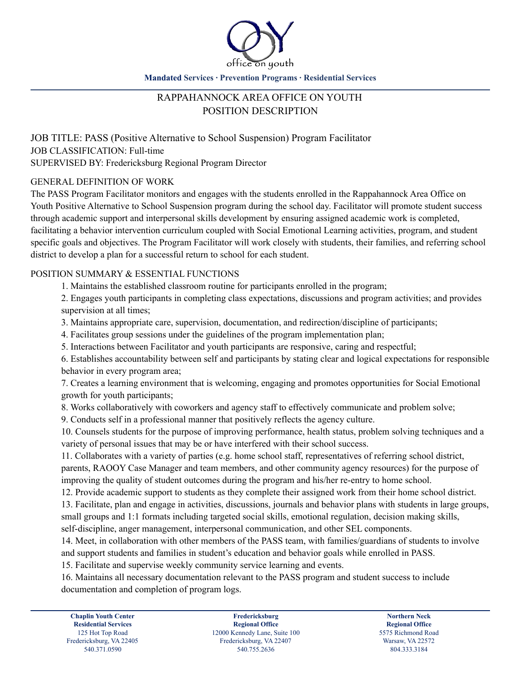

**Mandated Services ∙ Prevention Programs ∙ Residential Services**

# RAPPAHANNOCK AREA OFFICE ON YOUTH POSITION DESCRIPTION

JOB TITLE: PASS (Positive Alternative to School Suspension) Program Facilitator JOB CLASSIFICATION: Full-time SUPERVISED BY: Fredericksburg Regional Program Director

# GENERAL DEFINITION OF WORK

The PASS Program Facilitator monitors and engages with the students enrolled in the Rappahannock Area Office on Youth Positive Alternative to School Suspension program during the school day. Facilitator will promote student success through academic support and interpersonal skills development by ensuring assigned academic work is completed, facilitating a behavior intervention curriculum coupled with Social Emotional Learning activities, program, and student specific goals and objectives. The Program Facilitator will work closely with students, their families, and referring school district to develop a plan for a successful return to school for each student.

# POSITION SUMMARY & ESSENTIAL FUNCTIONS

1. Maintains the established classroom routine for participants enrolled in the program;

2. Engages youth participants in completing class expectations, discussions and program activities; and provides supervision at all times;

3. Maintains appropriate care, supervision, documentation, and redirection/discipline of participants;

4. Facilitates group sessions under the guidelines of the program implementation plan;

5. Interactions between Facilitator and youth participants are responsive, caring and respectful;

6. Establishes accountability between self and participants by stating clear and logical expectations for responsible behavior in every program area;

7. Creates a learning environment that is welcoming, engaging and promotes opportunities for Social Emotional growth for youth participants;

8. Works collaboratively with coworkers and agency staff to effectively communicate and problem solve;

9. Conducts self in a professional manner that positively reflects the agency culture.

10. Counsels students for the purpose of improving performance, health status, problem solving techniques and a variety of personal issues that may be or have interfered with their school success.

11. Collaborates with a variety of parties (e.g. home school staff, representatives of referring school district, parents, RAOOY Case Manager and team members, and other community agency resources) for the purpose of improving the quality of student outcomes during the program and his/her re-entry to home school.

12. Provide academic support to students as they complete their assigned work from their home school district.

13. Facilitate, plan and engage in activities, discussions, journals and behavior plans with students in large groups, small groups and 1:1 formats including targeted social skills, emotional regulation, decision making skills, self-discipline, anger management, interpersonal communication, and other SEL components.

14. Meet, in collaboration with other members of the PASS team, with families/guardians of students to involve and support students and families in student's education and behavior goals while enrolled in PASS.

15. Facilitate and supervise weekly community service learning and events.

16. Maintains all necessary documentation relevant to the PASS program and student success to include documentation and completion of program logs.

**Fredericksburg Regional Office** 125 Hot Top Road 12000 Kennedy Lane, Suite 100 5575 Richmond Road<br>
12000 Kennedy Lane, Suite 100 5575 Richmond Road<br>
12000 Kennedy Lane, Suite 100 5575 Richmond Road 540.371.0590 540.755.2636 804.333.3184